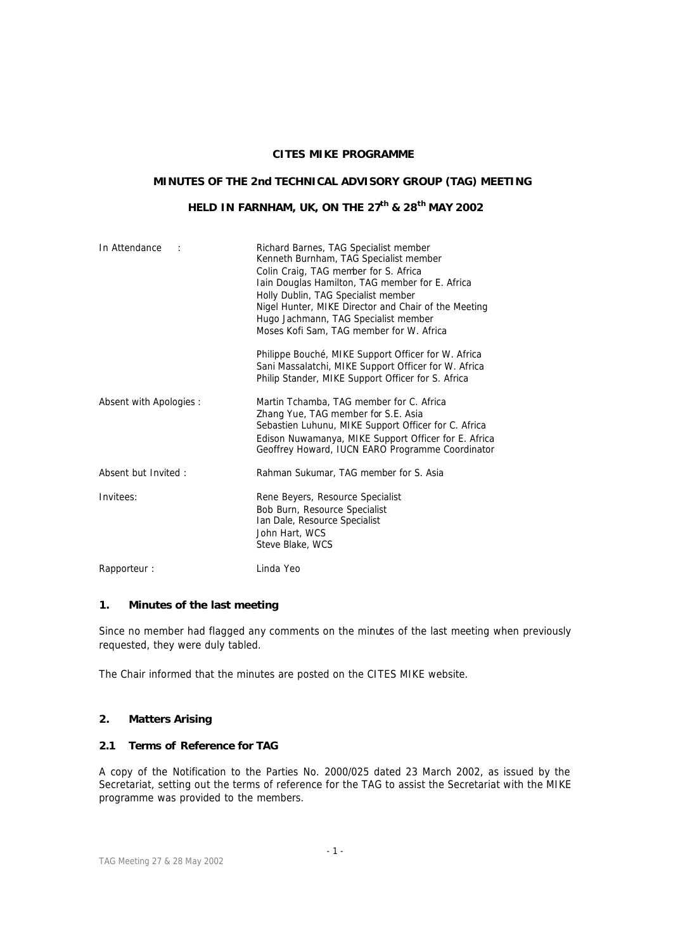## **CITES MIKE PROGRAMME**

## **MINUTES OF THE 2nd TECHNICAL ADVISORY GROUP (TAG) MEETING**

# **HELD IN FARNHAM, UK, ON THE 27th & 28th MAY 2002**

| In Attendance           | Richard Barnes, TAG Specialist member<br>Kenneth Burnham, TAG Specialist member<br>Colin Craig, TAG member for S. Africa<br>Iain Douglas Hamilton, TAG member for E. Africa<br>Holly Dublin, TAG Specialist member<br>Nigel Hunter, MIKE Director and Chair of the Meeting<br>Hugo Jachmann, TAG Specialist member<br>Moses Kofi Sam, TAG member for W. Africa<br>Philippe Bouché, MIKE Support Officer for W. Africa<br>Sani Massalatchi, MIKE Support Officer for W. Africa |  |
|-------------------------|-------------------------------------------------------------------------------------------------------------------------------------------------------------------------------------------------------------------------------------------------------------------------------------------------------------------------------------------------------------------------------------------------------------------------------------------------------------------------------|--|
|                         | Philip Stander, MIKE Support Officer for S. Africa                                                                                                                                                                                                                                                                                                                                                                                                                            |  |
| Absent with Apologies : | Martin Tchamba, TAG member for C. Africa<br>Zhang Yue, TAG member for S.E. Asia<br>Sebastien Luhunu, MIKE Support Officer for C. Africa<br>Edison Nuwamanya, MIKE Support Officer for E. Africa<br>Geoffrey Howard, IUCN EARO Programme Coordinator                                                                                                                                                                                                                           |  |
| Absent but Invited:     | Rahman Sukumar, TAG member for S. Asia                                                                                                                                                                                                                                                                                                                                                                                                                                        |  |
| Invitees:               | Rene Beyers, Resource Specialist<br>Bob Burn, Resource Specialist<br>Ian Dale, Resource Specialist<br>John Hart, WCS<br>Steve Blake, WCS                                                                                                                                                                                                                                                                                                                                      |  |
| Rapporteur:             | Linda Yeo                                                                                                                                                                                                                                                                                                                                                                                                                                                                     |  |

## **1. Minutes of the last meeting**

Since no member had flagged any comments on the minutes of the last meeting when previously requested, they were duly tabled.

The Chair informed that the minutes are posted on the CITES MIKE website.

### **2. Matters Arising**

### **2.1 Terms of Reference for TAG**

A copy of the Notification to the Parties No. 2000/025 dated 23 March 2002, as issued by the Secretariat, setting out the terms of reference for the TAG to assist the Secretariat with the MIKE programme was provided to the members.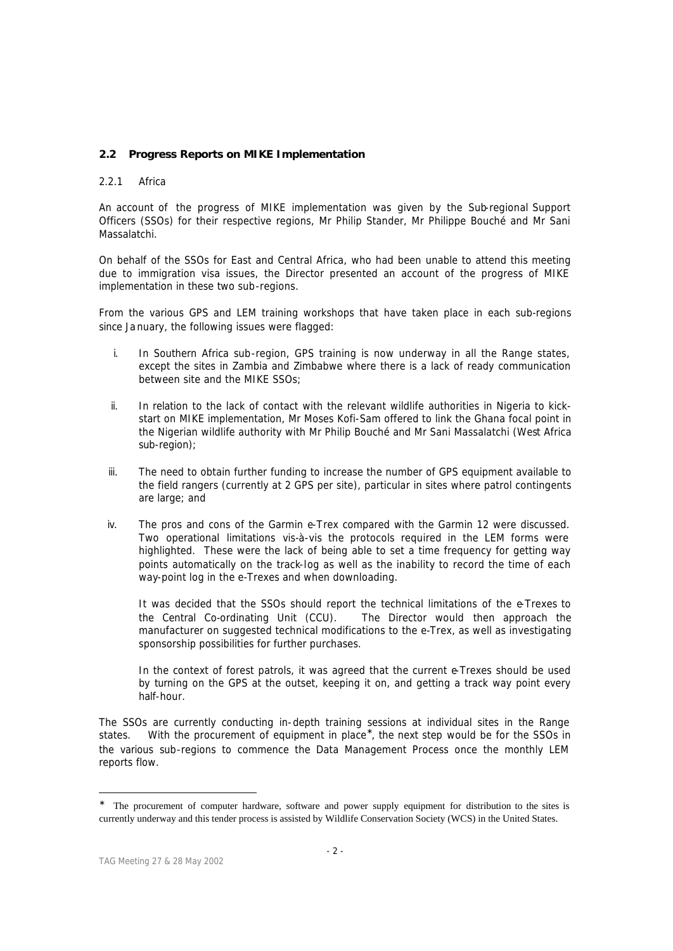## **2.2 Progress Reports on MIKE Implementation**

## *2.2.1 Africa*

An account of the progress of MIKE implementation was given by the Sub-regional Support Officers (SSOs) for their respective regions, Mr Philip Stander, Mr Philippe Bouché and Mr Sani Massalatchi.

On behalf of the SSOs for East and Central Africa, who had been unable to attend this meeting due to immigration visa issues, the Director presented an account of the progress of MIKE implementation in these two sub-regions.

From the various GPS and LEM training workshops that have taken place in each sub-regions since Ja nuary, the following issues were flagged:

- i. In Southern Africa sub-region, GPS training is now underway in all the Range states, except the sites in Zambia and Zimbabwe where there is a lack of ready communication between site and the MIKE SSOs;
- ii. In relation to the lack of contact with the relevant wildlife authorities in Nigeria to kickstart on MIKE implementation, Mr Moses Kofi-Sam offered to link the Ghana focal point in the Nigerian wildlife authority with Mr Philip Bouché and Mr Sani Massalatchi (West Africa sub-region);
- iii. The need to obtain further funding to increase the number of GPS equipment available to the field rangers (currently at 2 GPS per site), particular in sites where patrol contingents are large; and
- iv. The pros and cons of the Garmin e-Trex compared with the Garmin 12 were discussed. Two operational limitations vis-à-vis the protocols required in the LEM forms were highlighted. These were the lack of being able to set a time frequency for getting way points automatically on the track-log as well as the inability to record the time of each way-point log in the e-Trexes and when downloading.

It was decided that the SSOs should report the technical limitations of the e-Trexes to the Central Co-ordinating Unit (CCU). The Director would then approach the manufacturer on suggested technical modifications to the e-Trex, as well as investigating sponsorship possibilities for further purchases.

In the context of forest patrols, it was agreed that the current e-Trexes should be used by turning on the GPS at the outset, keeping it on, and getting a track way point every half-hour.

The SSOs are currently conducting in-depth training sessions at individual sites in the Range states. With the procurement of equipment in place<sup>\*</sup>, the next step would be for the SSOs in the various sub-regions to commence the Data Management Process once the monthly LEM reports flow.

<sup>∗</sup> The procurement of computer hardware, software and power supply equipment for distribution to the sites is currently underway and this tender process is assisted by Wildlife Conservation Society (WCS) in the United States.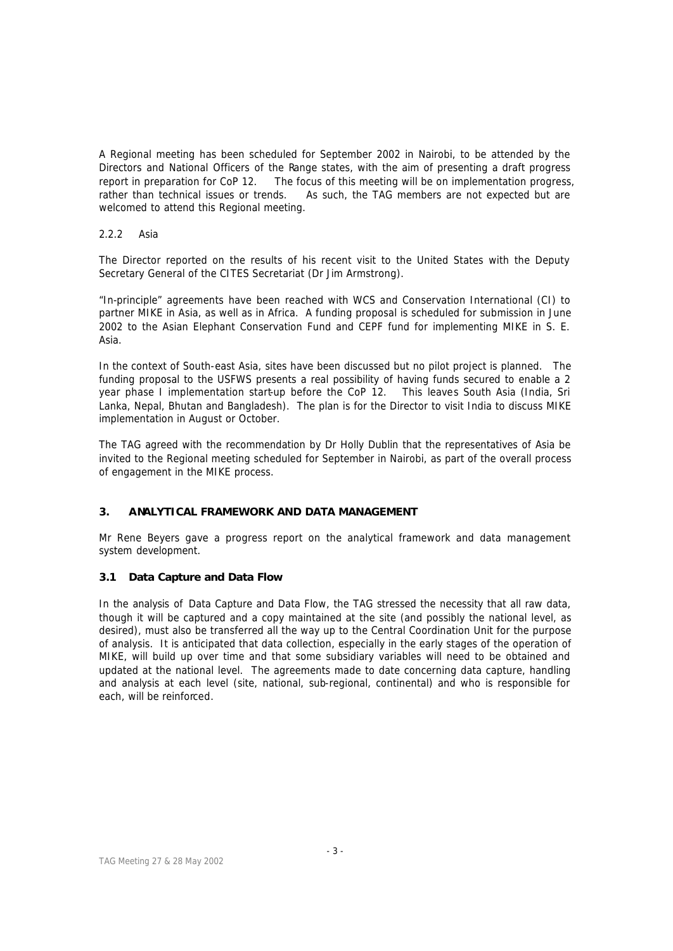A Regional meeting has been scheduled for September 2002 in Nairobi, to be attended by the Directors and National Officers of the Range states, with the aim of presenting a draft progress report in preparation for CoP 12. The focus of this meeting will be on implementation progress, rather than technical issues or trends. As such, the TAG members are not expected but are welcomed to attend this Regional meeting.

## *2.2.2 Asia*

The Director reported on the results of his recent visit to the United States with the Deputy Secretary General of the CITES Secretariat (Dr Jim Armstrong).

"In-principle" agreements have been reached with WCS and Conservation International (CI) to partner MIKE in Asia, as well as in Africa. A funding proposal is scheduled for submission in June 2002 to the Asian Elephant Conservation Fund and CEPF fund for implementing MIKE in S. E. Asia.

In the context of South-east Asia, sites have been discussed but no pilot project is planned. The funding proposal to the USFWS presents a real possibility of having funds secured to enable a 2 year phase I implementation start-up before the CoP 12. This leaves South Asia (India, Sri Lanka, Nepal, Bhutan and Bangladesh). The plan is for the Director to visit India to discuss MIKE implementation in August or October.

The TAG agreed with the recommendation by Dr Holly Dublin that the representatives of Asia be invited to the Regional meeting scheduled for September in Nairobi, as part of the overall process of engagement in the MIKE process.

## **3. ANALYTICAL FRAMEWORK AND DATA MANAGEMENT**

Mr Rene Beyers gave a progress report on the analytical framework and data management system development.

## **3.1 Data Capture and Data Flow**

In the analysis of Data Capture and Data Flow, the TAG stressed the necessity that all raw data, though it will be captured and a copy maintained at the site (and possibly the national level, as desired), must also be transferred all the way up to the Central Coordination Unit for the purpose of analysis. It is anticipated that data collection, especially in the early stages of the operation of MIKE, will build up over time and that some subsidiary variables will need to be obtained and updated at the national level. The agreements made to date concerning data capture, handling and analysis at each level (site, national, sub-regional, continental) and who is responsible for each, will be reinforced.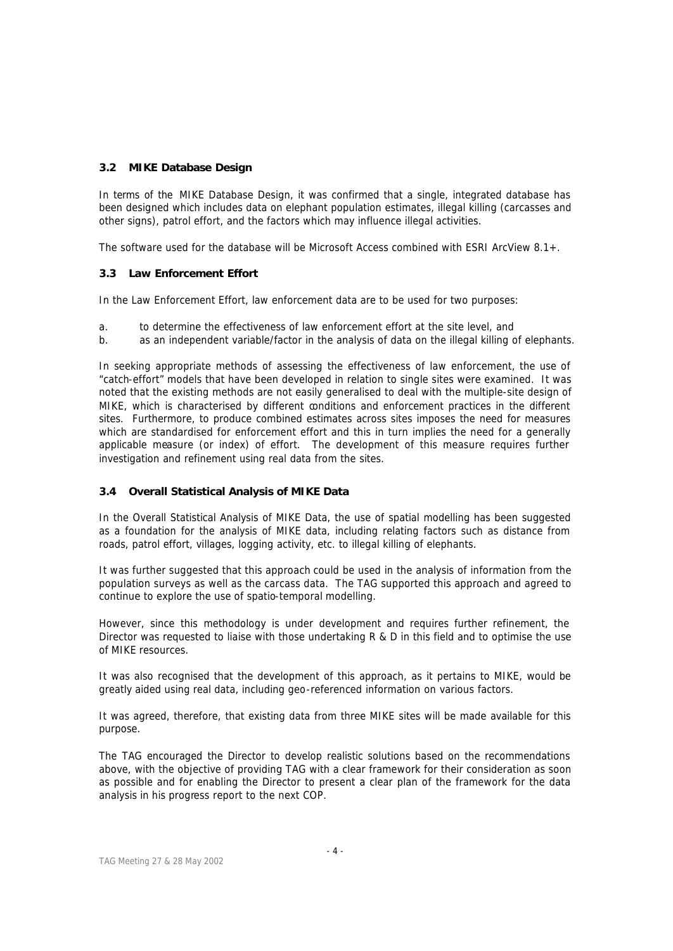## **3.2 MIKE Database Design**

In terms of the MIKE Database Design, it was confirmed that a single, integrated database has been designed which includes data on elephant population estimates, illegal killing (carcasses and other signs), patrol effort, and the factors which may influence illegal activities.

The software used for the database will be Microsoft Access combined with ESRI ArcView 8.1+.

## **3.3 Law Enforcement Effort**

In the Law Enforcement Effort, law enforcement data are to be used for two purposes:

- a. to determine the effectiveness of law enforcement effort at the site level, and
- b. as an independent variable/factor in the analysis of data on the illegal killing of elephants.

In seeking appropriate methods of assessing the effectiveness of law enforcement, the use of "catch-effort" models that have been developed in relation to single sites were examined. It was noted that the existing methods are not easily generalised to deal with the multiple-site design of MIKE, which is characterised by different conditions and enforcement practices in the different sites. Furthermore, to produce combined estimates across sites imposes the need for measures which are standardised for enforcement effort and this in turn implies the need for a generally applicable measure (or index) of effort. The development of this measure requires further investigation and refinement using real data from the sites.

## **3.4 Overall Statistical Analysis of MIKE Data**

In the Overall Statistical Analysis of MIKE Data, the use of spatial modelling has been suggested as a foundation for the analysis of MIKE data, including relating factors such as distance from roads, patrol effort, villages, logging activity, etc. to illegal killing of elephants.

It was further suggested that this approach could be used in the analysis of information from the population surveys as well as the carcass data. The TAG supported this approach and agreed to continue to explore the use of spatio-temporal modelling.

However, since this methodology is under development and requires further refinement, the Director was requested to liaise with those undertaking R & D in this field and to optimise the use of MIKE resources.

It was also recognised that the development of this approach, as it pertains to MIKE, would be greatly aided using real data, including geo-referenced information on various factors.

It was agreed, therefore, that existing data from three MIKE sites will be made available for this purpose.

The TAG encouraged the Director to develop realistic solutions based on the recommendations above, with the objective of providing TAG with a clear framework for their consideration as soon as possible and for enabling the Director to present a clear plan of the framework for the data analysis in his progress report to the next COP.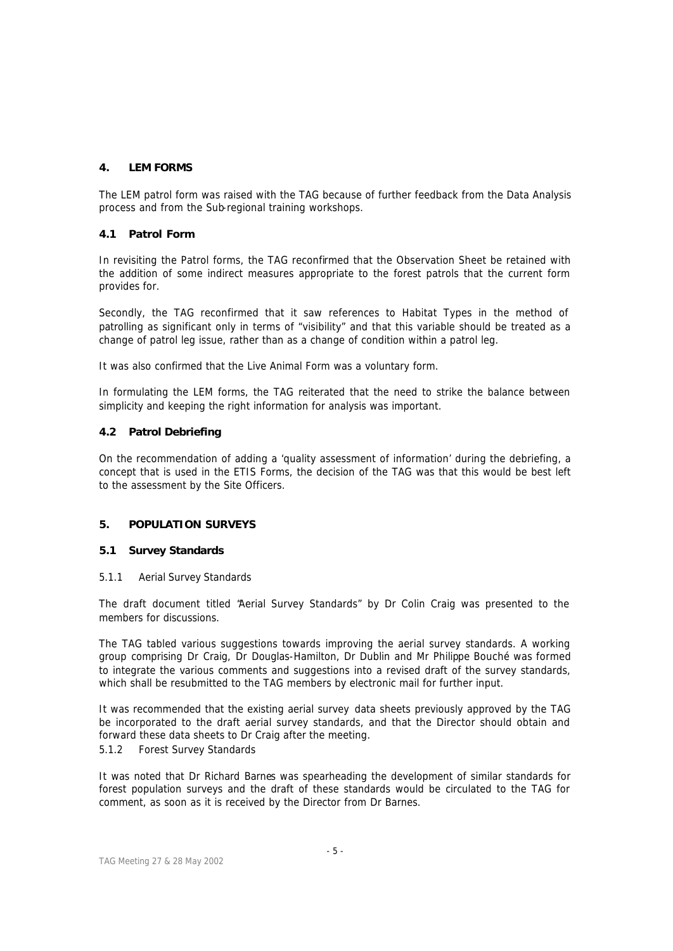## **4. LEM FORMS**

The LEM patrol form was raised with the TAG because of further feedback from the Data Analysis process and from the Sub-regional training workshops.

## **4.1 Patrol Form**

In revisiting the Patrol forms, the TAG reconfirmed that the Observation Sheet be retained with the addition of some indirect measures appropriate to the forest patrols that the current form provides for.

Secondly, the TAG reconfirmed that it saw references to Habitat Types in the method of patrolling as significant only in terms of "visibility" and that this variable should be treated as a change of patrol leg issue, rather than as a change of condition within a patrol leg.

It was also confirmed that the Live Animal Form was a voluntary form.

In formulating the LEM forms, the TAG reiterated that the need to strike the balance between simplicity and keeping the right information for analysis was important.

## **4.2 Patrol Debriefing**

On the recommendation of adding a 'quality assessment of information' during the debriefing, a concept that is used in the ETIS Forms, the decision of the TAG was that this would be best left to the assessment by the Site Officers.

## **5. POPULATION SURVEYS**

## **5.1 Survey Standards**

## *5.1.1 Aerial Survey Standards*

The draft document titled "Aerial Survey Standards" by Dr Colin Craig was presented to the members for discussions.

The TAG tabled various suggestions towards improving the aerial survey standards. A working group comprising Dr Craig, Dr Douglas-Hamilton, Dr Dublin and Mr Philippe Bouché was formed to integrate the various comments and suggestions into a revised draft of the survey standards, which shall be resubmitted to the TAG members by electronic mail for further input.

It was recommended that the existing aerial survey data sheets previously approved by the TAG be incorporated to the draft aerial survey standards, and that the Director should obtain and forward these data sheets to Dr Craig after the meeting.

## *5.1.2 Forest Survey Standards*

It was noted that Dr Richard Barnes was spearheading the development of similar standards for forest population surveys and the draft of these standards would be circulated to the TAG for comment, as soon as it is received by the Director from Dr Barnes.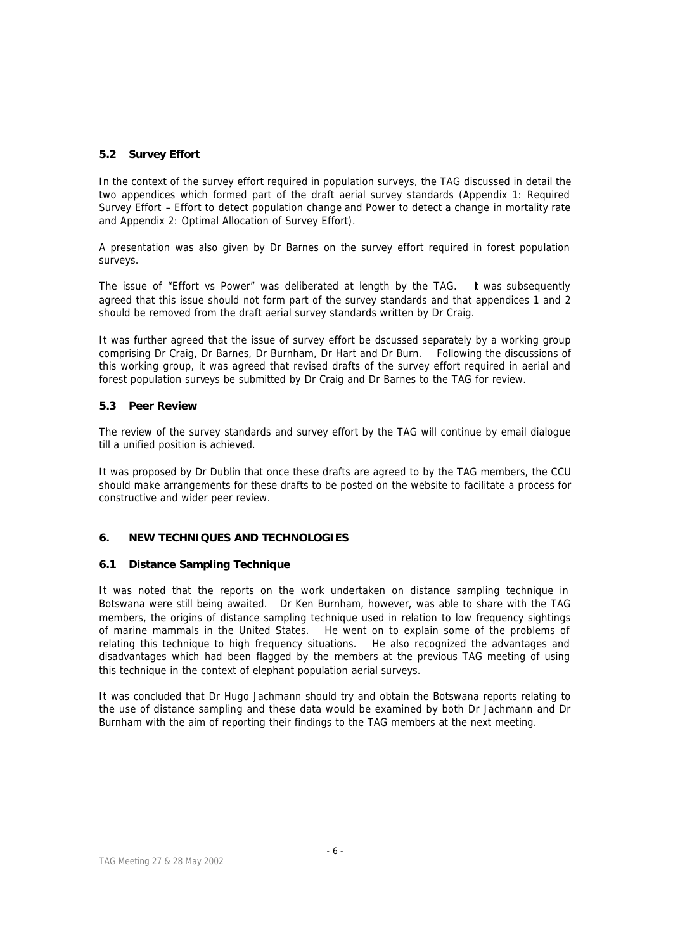## **5.2 Survey Effort**

In the context of the survey effort required in population surveys, the TAG discussed in detail the two appendices which formed part of the draft aerial survey standards (Appendix 1: Required Survey Effort – *Effort to detect population change* and *Power to detect a change in mortality rate* and Appendix 2: Optimal Allocation of Survey Effort).

A presentation was also given by Dr Barnes on the survey effort required in forest population surveys.

The issue of "Effort vs Power" was deliberated at length by the TAG. It was subsequently agreed that this issue should not form part of the survey standards and that appendices 1 and 2 should be removed from the draft aerial survey standards written by Dr Craig.

It was further agreed that the issue of survey effort be dscussed separately by a working group comprising Dr Craig, Dr Barnes, Dr Burnham, Dr Hart and Dr Burn. Following the discussions of this working group, it was agreed that revised drafts of the survey effort required in aerial and forest population surveys be submitted by Dr Craig and Dr Barnes to the TAG for review.

## **5.3 Peer Review**

The review of the survey standards and survey effort by the TAG will continue by email dialogue till a unified position is achieved.

It was proposed by Dr Dublin that once these drafts are agreed to by the TAG members, the CCU should make arrangements for these drafts to be posted on the website to facilitate a process for constructive and wider peer review.

# **6. NEW TECHNIQUES AND TECHNOLOGIES**

## **6.1 Distance Sampling Technique**

It was noted that the reports on the work undertaken on distance sampling technique in Botswana were still being awaited. Dr Ken Burnham, however, was able to share with the TAG members, the origins of distance sampling technique used in relation to low frequency sightings of marine mammals in the United States. He went on to explain some of the problems of relating this technique to high frequency situations. He also recognized the advantages and disadvantages which had been flagged by the members at the previous TAG meeting of using this technique in the context of elephant population aerial surveys.

It was concluded that Dr Hugo Jachmann should try and obtain the Botswana reports relating to the use of distance sampling and these data would be examined by both Dr Jachmann and Dr Burnham with the aim of reporting their findings to the TAG members at the next meeting.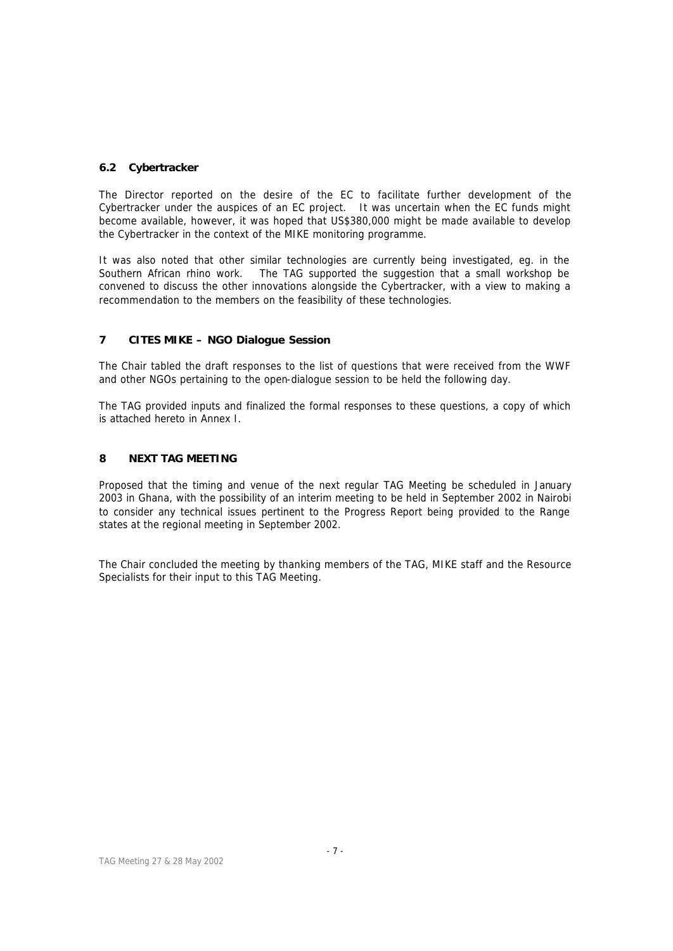## **6.2 Cybertracker**

The Director reported on the desire of the EC to facilitate further development of the Cybertracker under the auspices of an EC project. It was uncertain when the EC funds might become available, however, it was hoped that US\$380,000 might be made available to develop the Cybertracker in the context of the MIKE monitoring programme.

It was also noted that other similar technologies are currently being investigated, eg. in the Southern African rhino work. The TAG supported the suggestion that a small workshop be convened to discuss the other innovations alongside the Cybertracker, with a view to making a recommendation to the members on the feasibility of these technologies.

# **7 CITES MIKE – NGO Dialogue Session**

The Chair tabled the draft responses to the list of questions that were received from the WWF and other NGOs pertaining to the open-dialogue session to be held the following day.

The TAG provided inputs and finalized the formal responses to these questions, a copy of which is attached hereto in Annex I.

## **8 NEXT TAG MEETING**

Proposed that the timing and venue of the next regular TAG Meeting be scheduled in January 2003 in Ghana, with the possibility of an interim meeting to be held in September 2002 in Nairobi to consider any technical issues pertinent to the Progress Report being provided to the Range states at the regional meeting in September 2002.

The Chair concluded the meeting by thanking members of the TAG, MIKE staff and the Resource Specialists for their input to this TAG Meeting.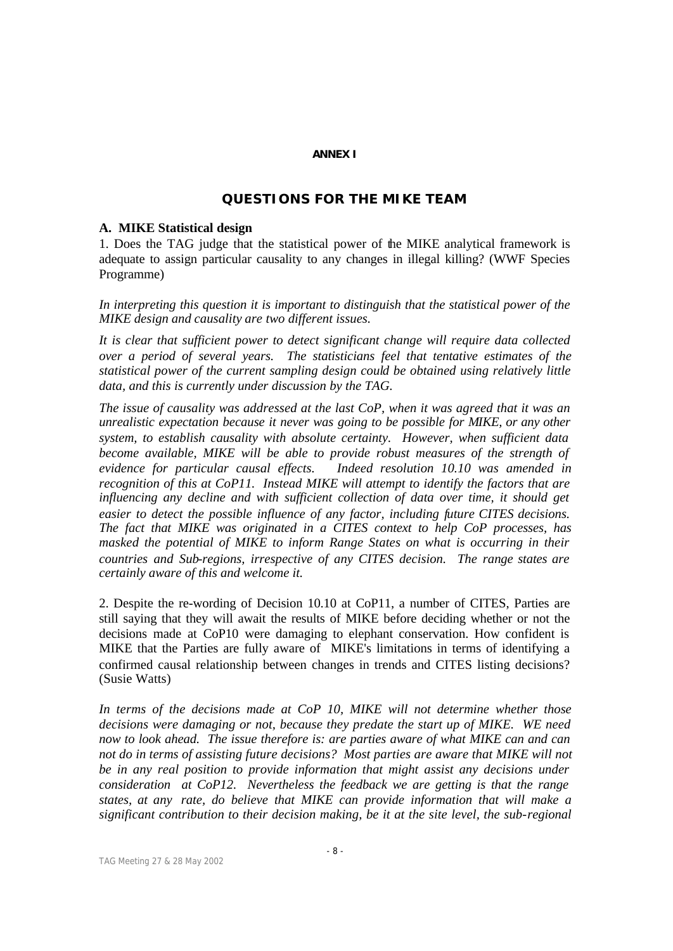### **ANNEX I**

# **QUESTIONS FOR THE MIKE TEAM**

## **A. MIKE Statistical design**

1. Does the TAG judge that the statistical power of the MIKE analytical framework is adequate to assign particular causality to any changes in illegal killing? (WWF Species Programme)

*In interpreting this question it is important to distinguish that the statistical power of the MIKE design and causality are two different issues.* 

*It is clear that sufficient power to detect significant change will require data collected over a period of several years. The statisticians feel that tentative estimates of the statistical power of the current sampling design could be obtained using relatively little data, and this is currently under discussion by the TAG.* 

*The issue of causality was addressed at the last CoP, when it was agreed that it was an unrealistic expectation because it never was going to be possible for MIKE, or any other system, to establish causality with absolute certainty. However, when sufficient data become available, MIKE will be able to provide robust measures of the strength of evidence for particular causal effects. Indeed resolution 10.10 was amended in recognition of this at CoP11. Instead MIKE will attempt to identify the factors that are influencing any decline and with sufficient collection of data over time, it should get easier to detect the possible influence of any factor, including future CITES decisions. The fact that MIKE was originated in a CITES context to help CoP processes, has masked the potential of MIKE to inform Range States on what is occurring in their countries and Sub-regions, irrespective of any CITES decision. The range states are certainly aware of this and welcome it.*

2. Despite the re-wording of Decision 10.10 at CoP11, a number of CITES, Parties are still saying that they will await the results of MIKE before deciding whether or not the decisions made at CoP10 were damaging to elephant conservation. How confident is MIKE that the Parties are fully aware of MIKE's limitations in terms of identifying a confirmed causal relationship between changes in trends and CITES listing decisions? (Susie Watts)

*In terms of the decisions made at CoP 10, MIKE will not determine whether those decisions were damaging or not, because they predate the start up of MIKE. WE need now to look ahead. The issue therefore is: are parties aware of what MIKE can and can not do in terms of assisting future decisions? Most parties are aware that MIKE will not be in any real position to provide information that might assist any decisions under consideration at CoP12. Nevertheless the feedback we are getting is that the range states, at any rate, do believe that MIKE can provide information that will make a significant contribution to their decision making, be it at the site level, the sub-regional*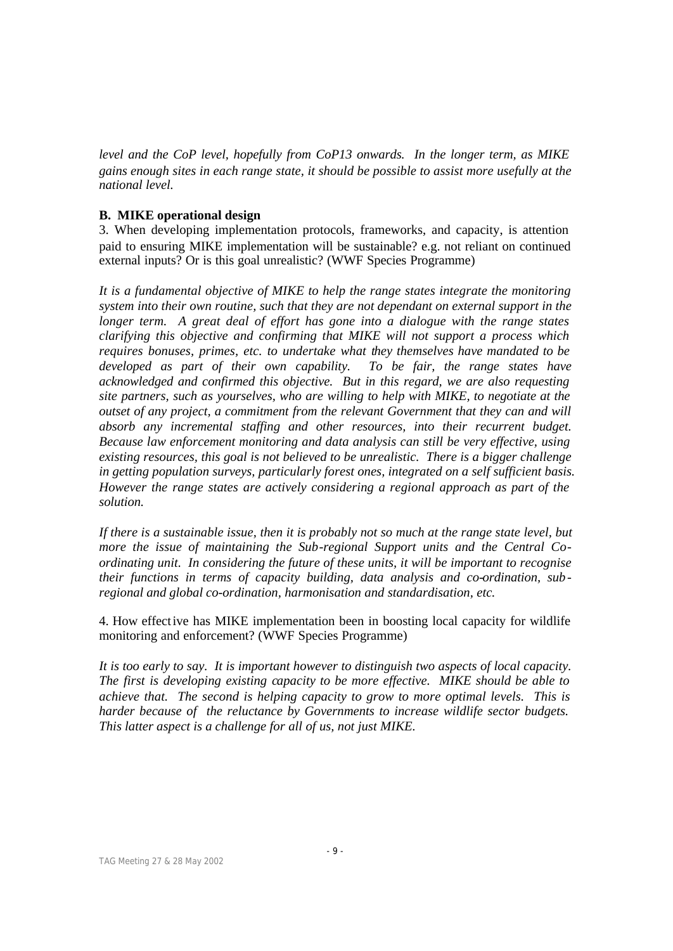*level and the CoP level, hopefully from CoP13 onwards. In the longer term, as MIKE gains enough sites in each range state, it should be possible to assist more usefully at the national level.* 

# **B. MIKE operational design**

3. When developing implementation protocols, frameworks, and capacity, is attention paid to ensuring MIKE implementation will be sustainable? e.g. not reliant on continued external inputs? Or is this goal unrealistic? (WWF Species Programme)

*It is a fundamental objective of MIKE to help the range states integrate the monitoring system into their own routine, such that they are not dependant on external support in the longer term.* A great deal of effort has gone into a dialogue with the range states *clarifying this objective and confirming that MIKE will not support a process which requires bonuses, primes, etc. to undertake what they themselves have mandated to be developed as part of their own capability. To be fair, the range states have acknowledged and confirmed this objective. But in this regard, we are also requesting site partners, such as yourselves, who are willing to help with MIKE, to negotiate at the outset of any project, a commitment from the relevant Government that they can and will absorb any incremental staffing and other resources, into their recurrent budget. Because law enforcement monitoring and data analysis can still be very effective, using existing resources, this goal is not believed to be unrealistic. There is a bigger challenge in getting population surveys, particularly forest ones, integrated on a self sufficient basis. However the range states are actively considering a regional approach as part of the solution.* 

*If there is a sustainable issue, then it is probably not so much at the range state level, but more the issue of maintaining the Sub-regional Support units and the Central Coordinating unit. In considering the future of these units, it will be important to recognise their functions in terms of capacity building, data analysis and co-ordination, sub regional and global co-ordination, harmonisation and standardisation, etc.*

4. How effective has MIKE implementation been in boosting local capacity for wildlife monitoring and enforcement? (WWF Species Programme)

*It is too early to say. It is important however to distinguish two aspects of local capacity. The first is developing existing capacity to be more effective. MIKE should be able to achieve that. The second is helping capacity to grow to more optimal levels. This is harder because of the reluctance by Governments to increase wildlife sector budgets. This latter aspect is a challenge for all of us, not just MIKE.*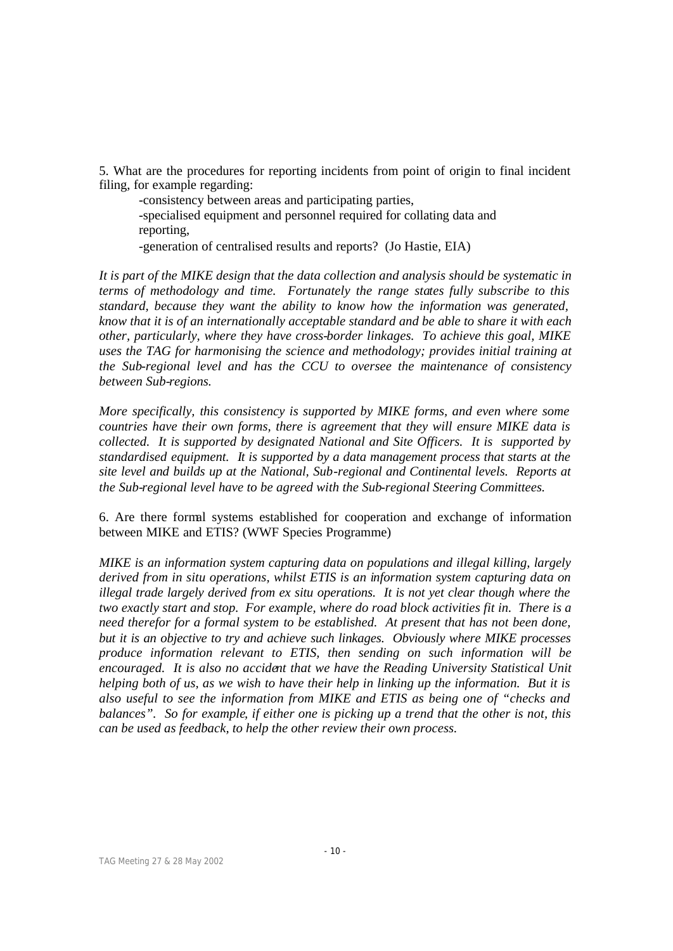5. What are the procedures for reporting incidents from point of origin to final incident filing, for example regarding:

-consistency between areas and participating parties, -specialised equipment and personnel required for collating data and reporting,

-generation of centralised results and reports? (Jo Hastie, EIA)

*It is part of the MIKE design that the data collection and analysis should be systematic in terms of methodology and time. Fortunately the range states fully subscribe to this standard, because they want the ability to know how the information was generated, know that it is of an internationally acceptable standard and be able to share it with each other, particularly, where they have cross-border linkages. To achieve this goal, MIKE uses the TAG for harmonising the science and methodology; provides initial training at the Sub-regional level and has the CCU to oversee the maintenance of consistency between Sub-regions.*

*More specifically, this consistency is supported by MIKE forms, and even where some countries have their own forms, there is agreement that they will ensure MIKE data is collected. It is supported by designated National and Site Officers. It is supported by standardised equipment. It is supported by a data management process that starts at the site level and builds up at the National, Sub-regional and Continental levels. Reports at the Sub-regional level have to be agreed with the Sub-regional Steering Committees.*

6. Are there formal systems established for cooperation and exchange of information between MIKE and ETIS? (WWF Species Programme)

*MIKE is an information system capturing data on populations and illegal killing, largely derived from in situ operations, whilst ETIS is an information system capturing data on illegal trade largely derived from ex situ operations. It is not yet clear though where the two exactly start and stop. For example, where do road block activities fit in. There is a need therefor for a formal system to be established. At present that has not been done, but it is an objective to try and achieve such linkages. Obviously where MIKE processes produce information relevant to ETIS, then sending on such information will be encouraged. It is also no accident that we have the Reading University Statistical Unit helping both of us, as we wish to have their help in linking up the information. But it is also useful to see the information from MIKE and ETIS as being one of "checks and balances". So for example, if either one is picking up a trend that the other is not, this can be used as feedback, to help the other review their own process.*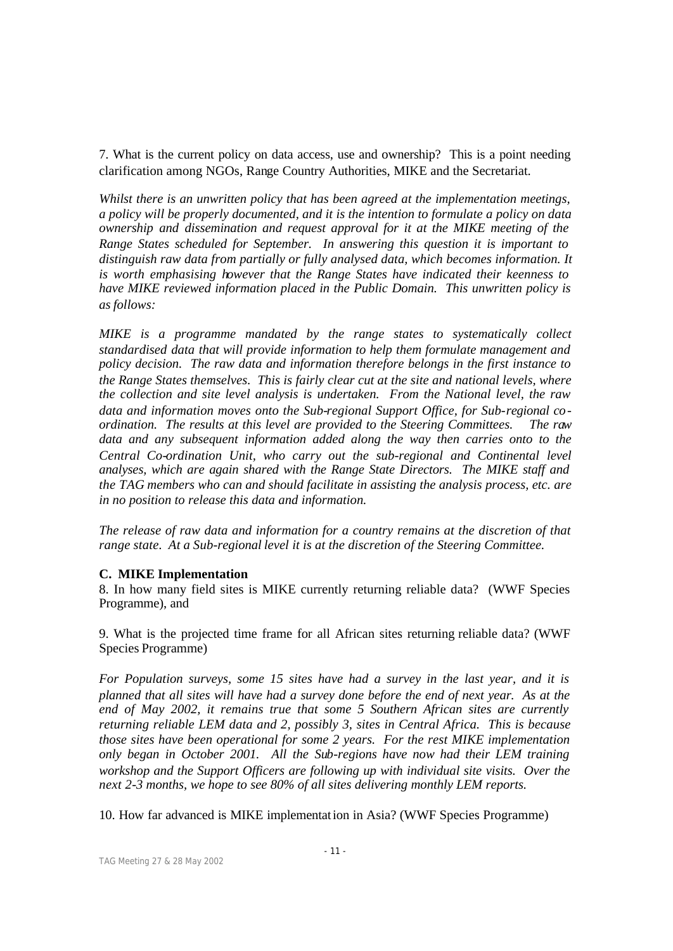7. What is the current policy on data access, use and ownership? This is a point needing clarification among NGOs, Range Country Authorities, MIKE and the Secretariat.

*Whilst there is an unwritten policy that has been agreed at the implementation meetings, a policy will be properly documented, and it is the intention to formulate a policy on data ownership and dissemination and request approval for it at the MIKE meeting of the Range States scheduled for September. In answering this question it is important to distinguish raw data from partially or fully analysed data, which becomes information. It is worth emphasising however that the Range States have indicated their keenness to have MIKE reviewed information placed in the Public Domain. This unwritten policy is as follows:*

*MIKE is a programme mandated by the range states to systematically collect standardised data that will provide information to help them formulate management and policy decision. The raw data and information therefore belongs in the first instance to the Range States themselves. This is fairly clear cut at the site and national levels, where the collection and site level analysis is undertaken. From the National level, the raw data and information moves onto the Sub-regional Support Office, for Sub-regional coordination. The results at this level are provided to the Steering Committees. The raw data and any subsequent information added along the way then carries onto to the Central Co-ordination Unit, who carry out the sub-regional and Continental level analyses, which are again shared with the Range State Directors. The MIKE staff and the TAG members who can and should facilitate in assisting the analysis process, etc. are in no position to release this data and information.*

*The release of raw data and information for a country remains at the discretion of that range state. At a Sub-regional level it is at the discretion of the Steering Committee.* 

## **C. MIKE Implementation**

8. In how many field sites is MIKE currently returning reliable data? (WWF Species Programme), and

9. What is the projected time frame for all African sites returning reliable data? (WWF Species Programme)

*For Population surveys, some 15 sites have had a survey in the last year, and it is planned that all sites will have had a survey done before the end of next year. As at the end of May 2002, it remains true that some 5 Southern African sites are currently returning reliable LEM data and 2, possibly 3, sites in Central Africa. This is because those sites have been operational for some 2 years. For the rest MIKE implementation only began in October 2001. All the Sub-regions have now had their LEM training workshop and the Support Officers are following up with individual site visits. Over the next 2-3 months, we hope to see 80% of all sites delivering monthly LEM reports.* 

10. How far advanced is MIKE implementation in Asia? (WWF Species Programme)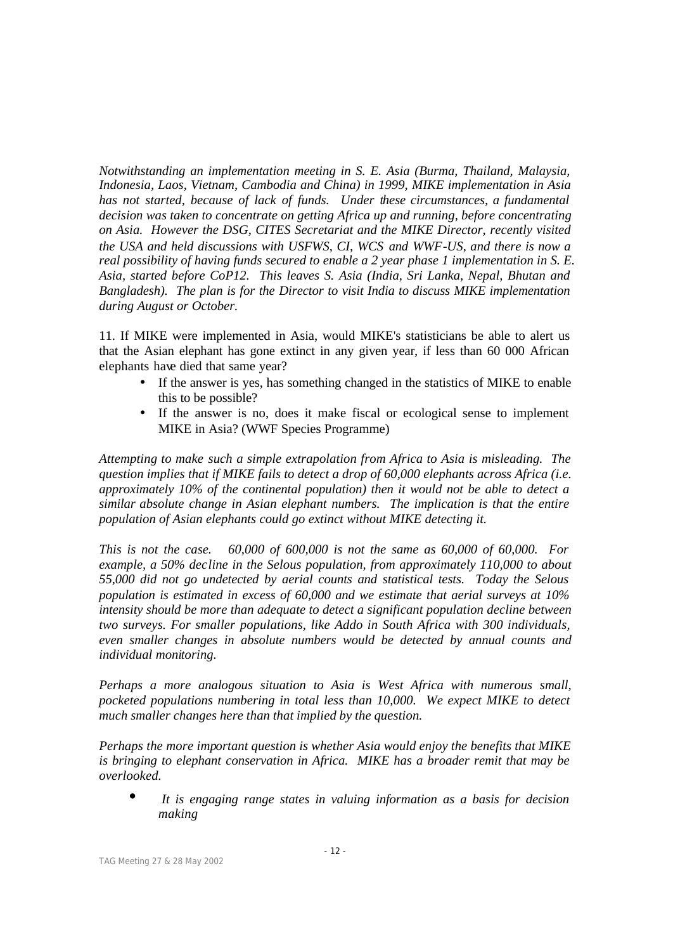*Notwithstanding an implementation meeting in S. E. Asia (Burma, Thailand, Malaysia, Indonesia, Laos, Vietnam, Cambodia and China) in 1999, MIKE implementation in Asia has not started, because of lack of funds. Under these circumstances, a fundamental decision was taken to concentrate on getting Africa up and running, before concentrating on Asia. However the DSG, CITES Secretariat and the MIKE Director, recently visited the USA and held discussions with USFWS, CI, WCS and WWF-US, and there is now a real possibility of having funds secured to enable a 2 year phase 1 implementation in S. E. Asia, started before CoP12. This leaves S. Asia (India, Sri Lanka, Nepal, Bhutan and Bangladesh). The plan is for the Director to visit India to discuss MIKE implementation during August or October.*

11. If MIKE were implemented in Asia, would MIKE's statisticians be able to alert us that the Asian elephant has gone extinct in any given year, if less than 60 000 African elephants have died that same year?

- If the answer is yes, has something changed in the statistics of MIKE to enable this to be possible?
- If the answer is no, does it make fiscal or ecological sense to implement MIKE in Asia? (WWF Species Programme)

*Attempting to make such a simple extrapolation from Africa to Asia is misleading. The question implies that if MIKE fails to detect a drop of 60,000 elephants across Africa (i.e. approximately 10% of the continental population) then it would not be able to detect a similar absolute change in Asian elephant numbers. The implication is that the entire population of Asian elephants could go extinct without MIKE detecting it.*

*This is not the case. 60,000 of 600,000 is not the same as 60,000 of 60,000. For example, a 50% decline in the Selous population, from approximately 110,000 to about 55,000 did not go undetected by aerial counts and statistical tests. Today the Selous population is estimated in excess of 60,000 and we estimate that aerial surveys at 10% intensity should be more than adequate to detect a significant population decline between two surveys. For smaller populations, like Addo in South Africa with 300 individuals, even smaller changes in absolute numbers would be detected by annual counts and individual monitoring.* 

*Perhaps a more analogous situation to Asia is West Africa with numerous small, pocketed populations numbering in total less than 10,000. We expect MIKE to detect much smaller changes here than that implied by the question.*

*Perhaps the more important question is whether Asia would enjoy the benefits that MIKE is bringing to elephant conservation in Africa. MIKE has a broader remit that may be overlooked.*

• *It is engaging range states in valuing information as a basis for decision making*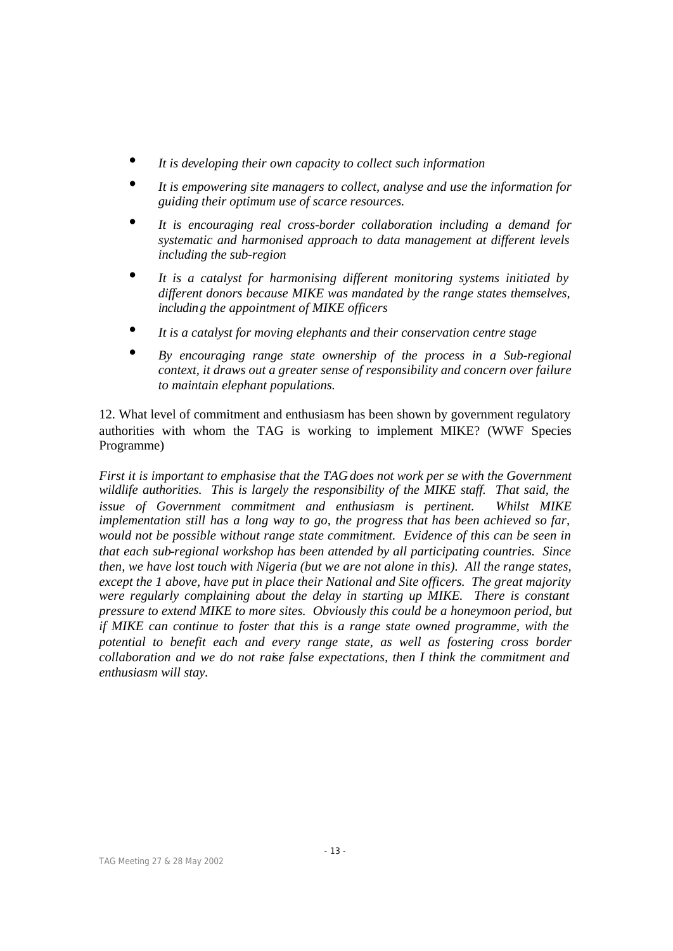- *It is developing their own capacity to collect such information*
- *It is empowering site managers to collect, analyse and use the information for guiding their optimum use of scarce resources.*
- *It is encouraging real cross-border collaboration including a demand for systematic and harmonised approach to data management at different levels including the sub-region*
- *It is a catalyst for harmonising different monitoring systems initiated by different donors because MIKE was mandated by the range states themselves, including the appointment of MIKE officers*
- *It is a catalyst for moving elephants and their conservation centre stage*
- *By encouraging range state ownership of the process in a Sub-regional context, it draws out a greater sense of responsibility and concern over failure to maintain elephant populations.*

12. What level of commitment and enthusiasm has been shown by government regulatory authorities with whom the TAG is working to implement MIKE? (WWF Species Programme)

*First it is important to emphasise that the TAG does not work per se with the Government wildlife authorities. This is largely the responsibility of the MIKE staff. That said, the issue of Government commitment and enthusiasm is pertinent. Whilst MIKE implementation still has a long way to go, the progress that has been achieved so far, would not be possible without range state commitment. Evidence of this can be seen in that each sub-regional workshop has been attended by all participating countries. Since then, we have lost touch with Nigeria (but we are not alone in this). All the range states, except the 1 above, have put in place their National and Site officers. The great majority were regularly complaining about the delay in starting up MIKE. There is constant pressure to extend MIKE to more sites. Obviously this could be a honeymoon period, but if MIKE can continue to foster that this is a range state owned programme, with the potential to benefit each and every range state, as well as fostering cross border collaboration and we do not raise false expectations, then I think the commitment and enthusiasm will stay.*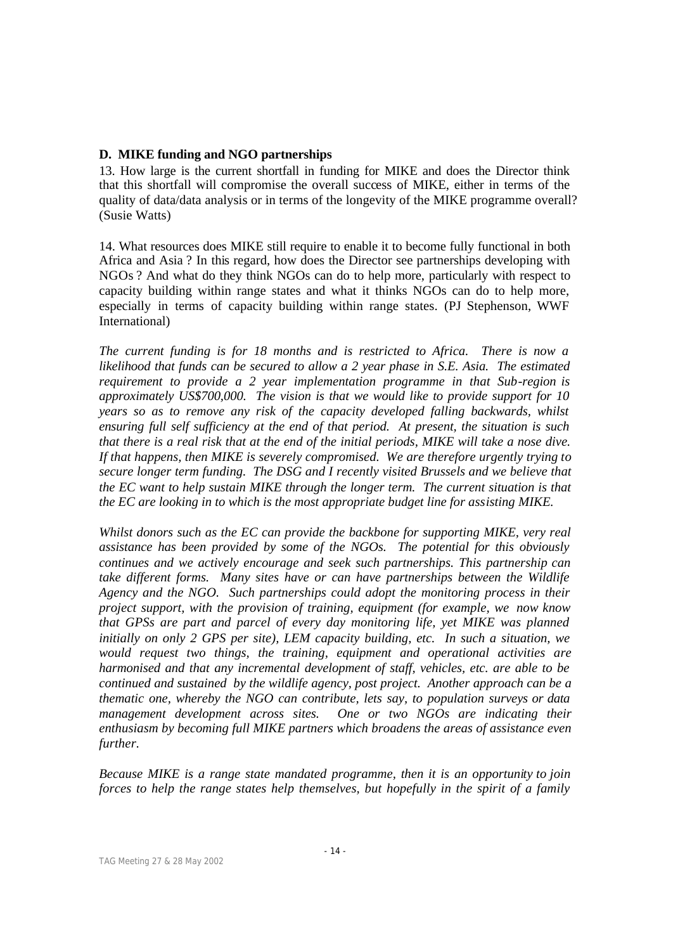# **D. MIKE funding and NGO partnerships**

13. How large is the current shortfall in funding for MIKE and does the Director think that this shortfall will compromise the overall success of MIKE, either in terms of the quality of data/data analysis or in terms of the longevity of the MIKE programme overall? (Susie Watts)

14. What resources does MIKE still require to enable it to become fully functional in both Africa and Asia ? In this regard, how does the Director see partnerships developing with NGOs ? And what do they think NGOs can do to help more, particularly with respect to capacity building within range states and what it thinks NGOs can do to help more, especially in terms of capacity building within range states. (PJ Stephenson, WWF International)

*The current funding is for 18 months and is restricted to Africa. There is now a likelihood that funds can be secured to allow a 2 year phase in S.E. Asia. The estimated requirement to provide a 2 year implementation programme in that Sub-region is approximately US\$700,000. The vision is that we would like to provide support for 10 years so as to remove any risk of the capacity developed falling backwards, whilst ensuring full self sufficiency at the end of that period. At present, the situation is such that there is a real risk that at the end of the initial periods, MIKE will take a nose dive. If that happens, then MIKE is severely compromised. We are therefore urgently trying to secure longer term funding. The DSG and I recently visited Brussels and we believe that the EC want to help sustain MIKE through the longer term. The current situation is that the EC are looking in to which is the most appropriate budget line for assisting MIKE.*

*Whilst donors such as the EC can provide the backbone for supporting MIKE, very real assistance has been provided by some of the NGOs. The potential for this obviously continues and we actively encourage and seek such partnerships. This partnership can take different forms. Many sites have or can have partnerships between the Wildlife Agency and the NGO. Such partnerships could adopt the monitoring process in their project support, with the provision of training, equipment (for example, we now know that GPSs are part and parcel of every day monitoring life, yet MIKE was planned initially on only 2 GPS per site), LEM capacity building, etc. In such a situation, we would request two things, the training, equipment and operational activities are harmonised and that any incremental development of staff, vehicles, etc. are able to be continued and sustained by the wildlife agency, post project. Another approach can be a thematic one, whereby the NGO can contribute, lets say, to population surveys or data management development across sites. One or two NGOs are indicating their enthusiasm by becoming full MIKE partners which broadens the areas of assistance even further.* 

*Because MIKE is a range state mandated programme, then it is an opportunity to join forces to help the range states help themselves, but hopefully in the spirit of a family*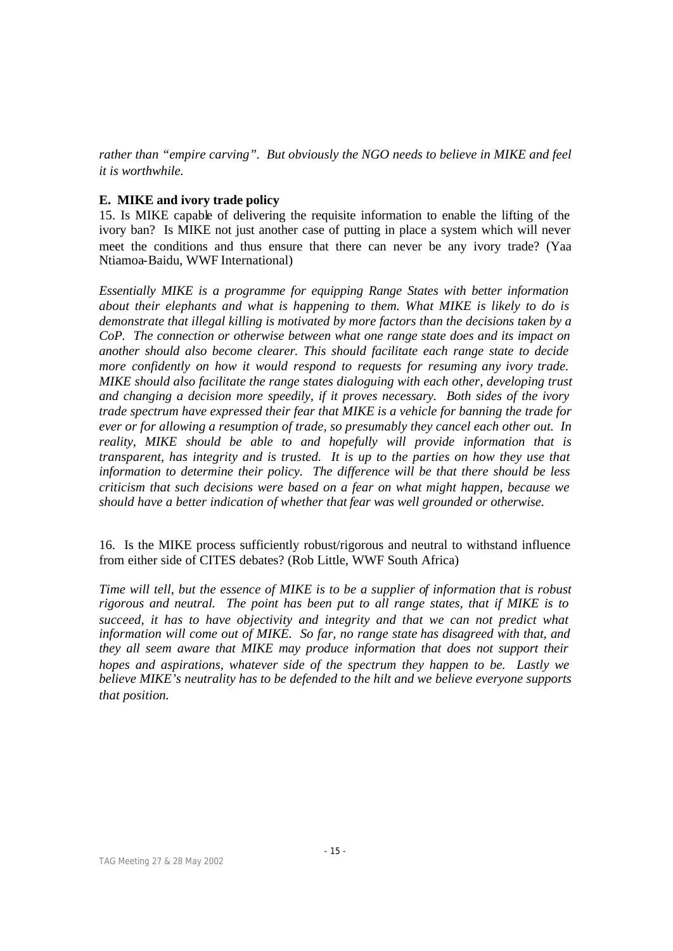*rather than "empire carving". But obviously the NGO needs to believe in MIKE and feel it is worthwhile.*

# **E. MIKE and ivory trade policy**

15. Is MIKE capable of delivering the requisite information to enable the lifting of the ivory ban? Is MIKE not just another case of putting in place a system which will never meet the conditions and thus ensure that there can never be any ivory trade? (Yaa Ntiamoa-Baidu, WWF International)

*Essentially MIKE is a programme for equipping Range States with better information about their elephants and what is happening to them. What MIKE is likely to do is demonstrate that illegal killing is motivated by more factors than the decisions taken by a CoP. The connection or otherwise between what one range state does and its impact on another should also become clearer. This should facilitate each range state to decide more confidently on how it would respond to requests for resuming any ivory trade. MIKE should also facilitate the range states dialoguing with each other, developing trust and changing a decision more speedily, if it proves necessary. Both sides of the ivory trade spectrum have expressed their fear that MIKE is a vehicle for banning the trade for ever or for allowing a resumption of trade, so presumably they cancel each other out. In reality, MIKE should be able to and hopefully will provide information that is transparent, has integrity and is trusted. It is up to the parties on how they use that information to determine their policy. The difference will be that there should be less criticism that such decisions were based on a fear on what might happen, because we should have a better indication of whether that fear was well grounded or otherwise.*

# 16. Is the MIKE process sufficiently robust/rigorous and neutral to withstand influence from either side of CITES debates? (Rob Little, WWF South Africa)

*Time will tell, but the essence of MIKE is to be a supplier of information that is robust rigorous and neutral. The point has been put to all range states, that if MIKE is to succeed, it has to have objectivity and integrity and that we can not predict what information will come out of MIKE. So far, no range state has disagreed with that, and they all seem aware that MIKE may produce information that does not support their hopes and aspirations, whatever side of the spectrum they happen to be. Lastly we believe MIKE's neutrality has to be defended to the hilt and we believe everyone supports that position.*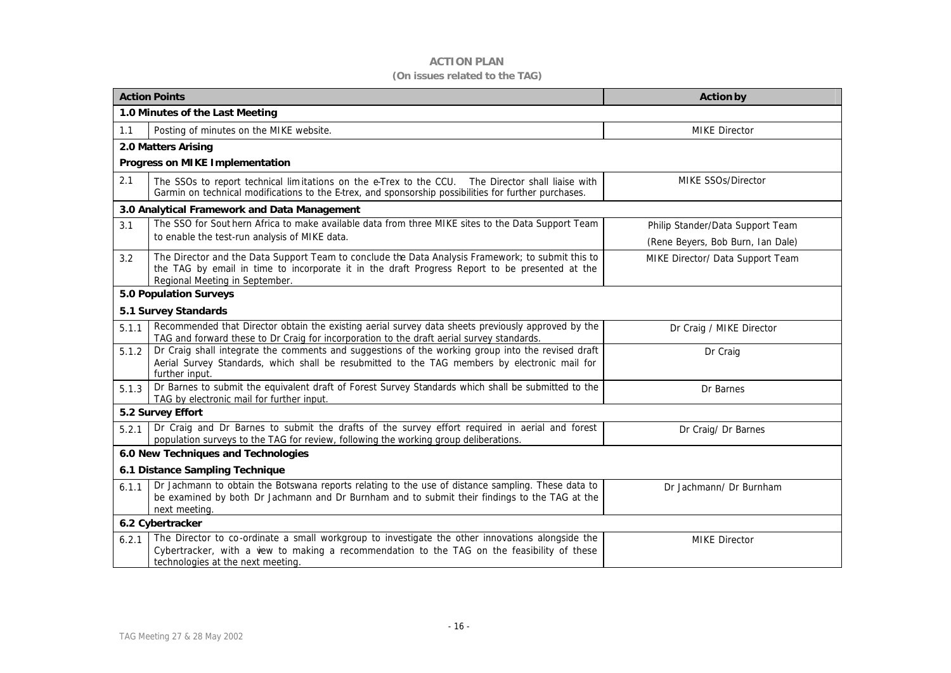# **ACTION PLAN (On issues related to the TAG)**

| <b>Action Points</b>                         |                                                                                                                                                                                                                                       | <b>Action by</b>                                                      |
|----------------------------------------------|---------------------------------------------------------------------------------------------------------------------------------------------------------------------------------------------------------------------------------------|-----------------------------------------------------------------------|
| 1.0 Minutes of the Last Meeting              |                                                                                                                                                                                                                                       |                                                                       |
| 1.1                                          | Posting of minutes on the MIKE website.                                                                                                                                                                                               | <b>MIKE Director</b>                                                  |
| 2.0 Matters Arising                          |                                                                                                                                                                                                                                       |                                                                       |
| Progress on MIKE Implementation              |                                                                                                                                                                                                                                       |                                                                       |
| 2.1                                          | The SSOs to report technical limitations on the e-Trex to the CCU. The Director shall liaise with<br>Garmin on technical modifications to the E-trex, and sponsorship possibilities for further purchases.                            | MIKE SSOs/Director                                                    |
| 3.0 Analytical Framework and Data Management |                                                                                                                                                                                                                                       |                                                                       |
| 3.1                                          | The SSO for Sout hern Africa to make available data from three MIKE sites to the Data Support Team<br>to enable the test-run analysis of MIKE data.                                                                                   | Philip Stander/Data Support Team<br>(Rene Beyers, Bob Burn, Ian Dale) |
| 3.2                                          | The Director and the Data Support Team to conclude the Data Analysis Framework; to submit this to<br>the TAG by email in time to incorporate it in the draft Progress Report to be presented at the<br>Regional Meeting in September. | MIKE Director/ Data Support Team                                      |
| <b>5.0 Population Surveys</b>                |                                                                                                                                                                                                                                       |                                                                       |
| 5.1 Survey Standards                         |                                                                                                                                                                                                                                       |                                                                       |
| 5.1.1                                        | Recommended that Director obtain the existing aerial survey data sheets previously approved by the<br>TAG and forward these to Dr Craig for incorporation to the draft aerial survey standards.                                       | Dr Craig / MIKE Director                                              |
| 5.1.2                                        | Dr Craig shall integrate the comments and suggestions of the working group into the revised draft<br>Aerial Survey Standards, which shall be resubmitted to the TAG members by electronic mail for<br>further input.                  | Dr Craig                                                              |
| 5.1.3                                        | Dr Barnes to submit the equivalent draft of Forest Survey Standards which shall be submitted to the<br>TAG by electronic mail for further input.                                                                                      | Dr Barnes                                                             |
| 5.2 Survey Effort                            |                                                                                                                                                                                                                                       |                                                                       |
| 5.2.1                                        | Dr Craig and Dr Barnes to submit the drafts of the survey effort required in aerial and forest<br>population surveys to the TAG for review, following the working group deliberations.                                                | Dr Craig/ Dr Barnes                                                   |
| 6.0 New Techniques and Technologies          |                                                                                                                                                                                                                                       |                                                                       |
| 6.1 Distance Sampling Technique              |                                                                                                                                                                                                                                       |                                                                       |
| 6.1.1                                        | Dr Jachmann to obtain the Botswana reports relating to the use of distance sampling. These data to<br>be examined by both Dr Jachmann and Dr Burnham and to submit their findings to the TAG at the<br>next meeting.                  | Dr Jachmann/ Dr Burnham                                               |
| 6.2 Cybertracker                             |                                                                                                                                                                                                                                       |                                                                       |
| 6.2.1                                        | The Director to co-ordinate a small workgroup to investigate the other innovations alongside the<br>Cybertracker, with a vew to making a recommendation to the TAG on the feasibility of these<br>technologies at the next meeting.   | <b>MIKE Director</b>                                                  |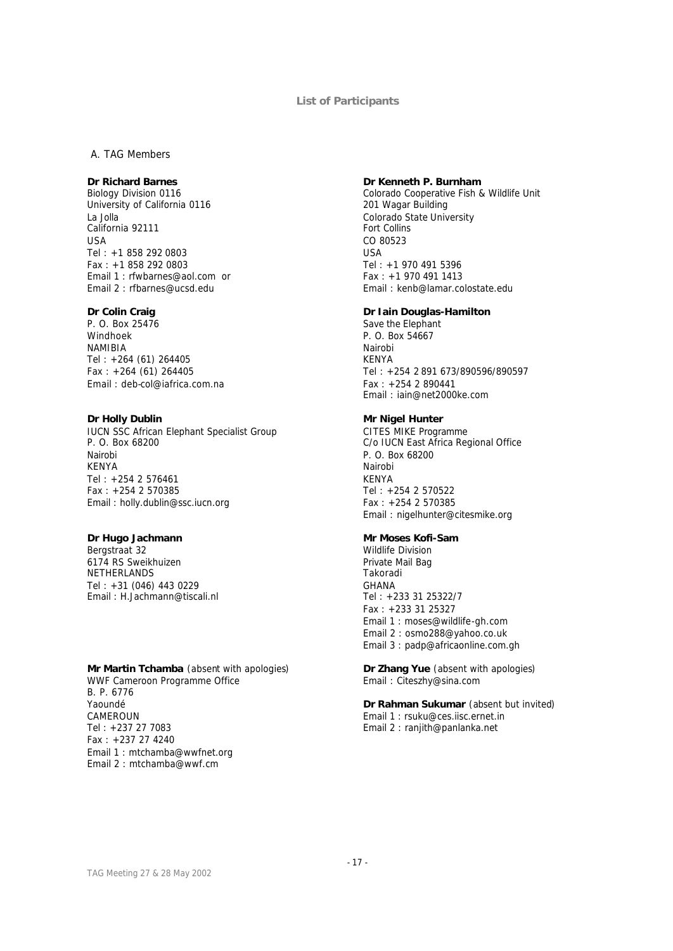#### **List of Participants**

#### *A. TAG Members*

## **Dr Richard Barnes**

Biology Division 0116 University of California 0116 La Jolla California 92111 USA Tel : +1 858 292 0803 Fax : +1 858 292 0803 Email 1 : rfwbarnes@aol.com or Email 2 : rfbarnes@ucsd.edu

#### **Dr Colin Craig**

P. O. Box 25476 Windhoek NAMIBIA Tel : +264 (61) 264405 Fax : +264 (61) 264405 Email : deb-col@iafrica.com.na

#### **Dr Holly Dublin**

IUCN SSC African Elephant Specialist Group P. O. Box 68200 Nairobi KENYA Tel : +254 2 576461 Fax : +254 2 570385 Email : holly.dublin@ssc.iucn.org

## **Dr Hugo Jachmann**

Bergstraat 32 6174 RS Sweikhuizen NETHERLANDS Tel : +31 (046) 443 0229 Email : H.Jachmann@tiscali.nl

#### **Mr Martin Tchamba** (*absent with apologies*)

WWF Cameroon Programme Office B. P. 6776 Yaoundé CAMEROUN Tel : +237 27 7083 Fax : +237 27 4240 Email 1 : mtchamba@wwfnet.org Email 2 : mtchamba@wwf.cm

#### **Dr Kenneth P. Burnham**

Colorado Cooperative Fish & Wildlife Unit 201 Wagar Building Colorado State University Fort Collins CO 80523 USA Tel : +1 970 491 5396 Fax : +1 970 491 1413 Email : kenb@lamar.colostate.edu

#### **Dr Iain Douglas-Hamilton**

Save the Elephant P. O. Box 54667 Nairobi KENYA Tel : +254 2 891 673/890596/890597 Fax : +254 2 890441 Email : iain@net2000ke.com

## **Mr Nigel Hunter**

CITES MIKE Programme C/o IUCN East Africa Regional Office P. O. Box 68200 Nairobi KENYA Tel : +254 2 570522 Fax : +254 2 570385 Email : nigelhunter@citesmike.org

## **Mr Moses Kofi-Sam**

Wildlife Division Private Mail Bag Takoradi GHANA Tel : +233 31 25322/7 Fax : +233 31 25327 Email 1 : moses@wildlife-gh.com Email 2 : osmo288@yahoo.co.uk Email 3 : padp@africaonline.com.gh

**Dr Zhang Yue** (*absent with apologies*) Email : Citeszhy@sina.com

**Dr Rahman Sukumar** (*absent but invited*) Email 1 : rsuku@ces.iisc.ernet.in Email 2 : ranjith@panlanka.net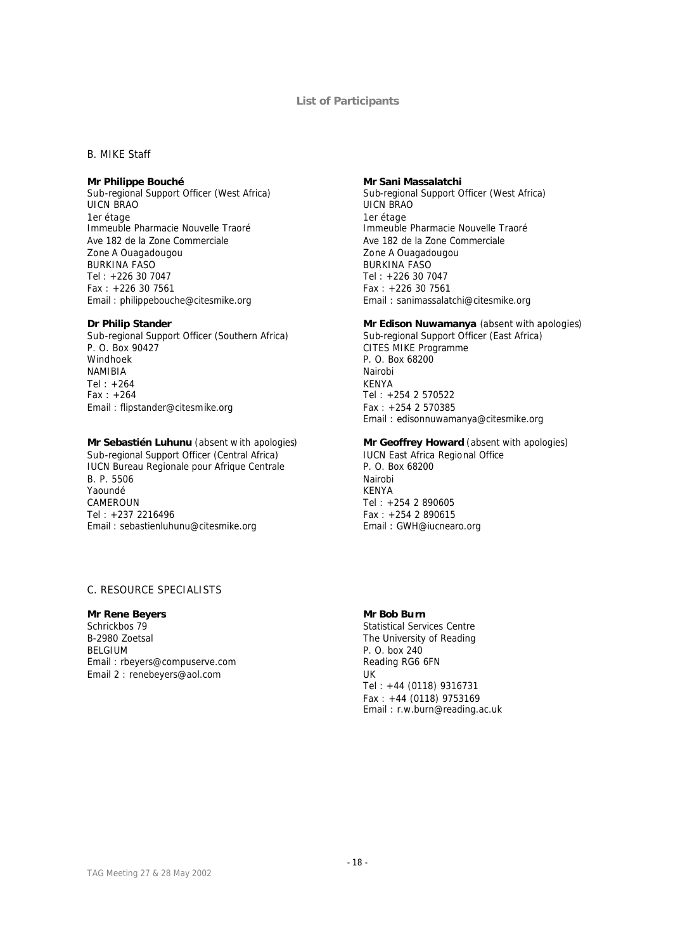#### **List of Participants**

### *B. MIKE Staff*

## **Mr Philippe Bouché**

Sub-regional Support Officer (West Africa) UICN BRAO 1er étage Immeuble Pharmacie Nouvelle Traoré Ave 182 de la Zone Commerciale Zone A Ouagadougou BURKINA FASO Tel : +226 30 7047 Fax : +226 30 7561 Email : philippebouche@citesmike.org

#### **Dr Philip Stander**

Sub-regional Support Officer (Southern Africa) P. O. Box 90427 Windhoek NAMIBIA Tel : +264 Fax : +264 Email : flipstander@citesmike.org

#### **Mr Sebastién Luhunu** (*absent w ith apologies*)

Sub-regional Support Officer (Central Africa) IUCN Bureau Regionale pour Afrique Centrale B. P. 5506 Yaoundé CAMEROUN Tel : +237 2216496 Email : sebastienluhunu@citesmike.org

## *C. RESOURCE SPECIALISTS*

## **Mr Rene Beyers**

Schrickbos 79 B-2980 Zoetsal BELGIUM Email : rbeyers@compuserve.com Email 2 : renebeyers@aol.com

#### **Mr Sani Massalatchi**

Sub-regional Support Officer (West Africa) UICN BRAO 1er étage Immeuble Pharmacie Nouvelle Traoré Ave 182 de la Zone Commerciale Zone A Ouagadougou BURKINA FASO Tel : +226 30 7047 Fax : +226 30 7561 Email : sanimassalatchi@citesmike.org

#### **Mr Edison Nuwamanya** (*absent with apologies*)

Sub-regional Support Officer (East Africa) CITES MIKE Programme P. O. Box 68200 Nairobi KENYA Tel : +254 2 570522 Fax : +254 2 570385 Email : edisonnuwamanya@citesmike.org

## **Mr Geoffrey Howard** (*absent with apologies*)

IUCN East Africa Regional Office P. O. Box 68200 Nairobi KENYA Tel : +254 2 890605 Fax : +254 2 890615 Email : GWH@iucnearo.org

#### **Mr Bob Burn**

Statistical Services Centre The University of Reading P. O. box 240 Reading RG6 6FN UK Tel : +44 (0118) 9316731 Fax : +44 (0118) 9753169 Email : r.w.burn@reading.ac.uk